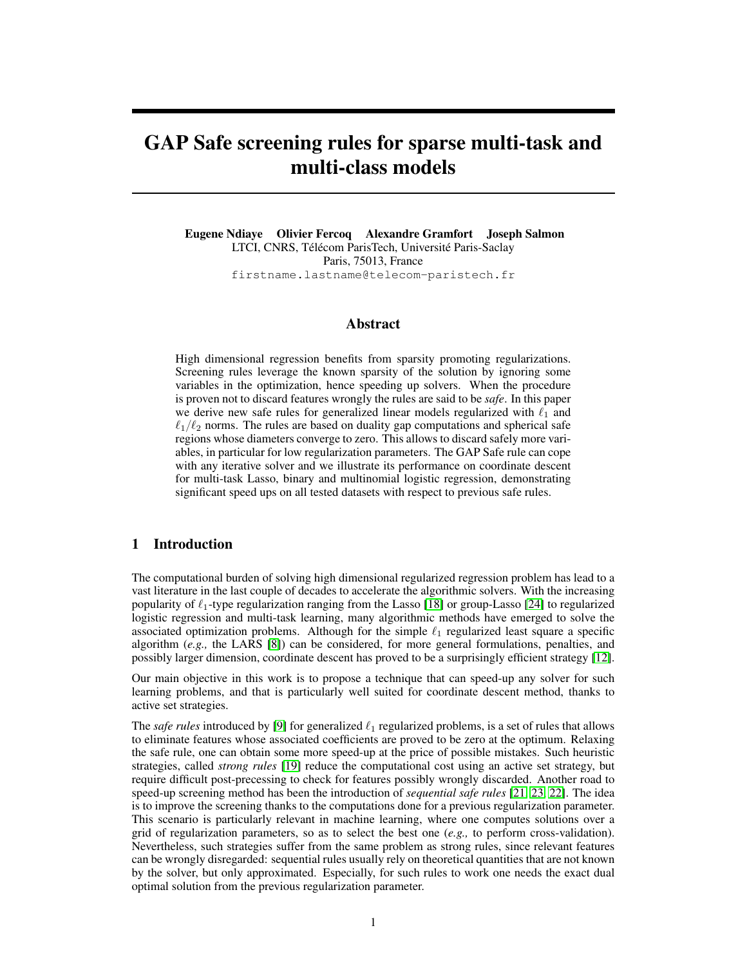# GAP Safe screening rules for sparse multi-task and multi-class models

Eugene Ndiaye Olivier Fercoq Alexandre Gramfort Joseph Salmon LTCI, CNRS, Télécom ParisTech, Université Paris-Saclay Paris, 75013, France firstname.lastname@telecom-paristech.fr

# Abstract

High dimensional regression benefits from sparsity promoting regularizations. Screening rules leverage the known sparsity of the solution by ignoring some variables in the optimization, hence speeding up solvers. When the procedure is proven not to discard features wrongly the rules are said to be *safe*. In this paper we derive new safe rules for generalized linear models regularized with  $\ell_1$  and  $\ell_1/\ell_2$  norms. The rules are based on duality gap computations and spherical safe regions whose diameters converge to zero. This allows to discard safely more variables, in particular for low regularization parameters. The GAP Safe rule can cope with any iterative solver and we illustrate its performance on coordinate descent for multi-task Lasso, binary and multinomial logistic regression, demonstrating significant speed ups on all tested datasets with respect to previous safe rules.

# 1 Introduction

The computational burden of solving high dimensional regularized regression problem has lead to a vast literature in the last couple of decades to accelerate the algorithmic solvers. With the increasing popularity of  $\ell_1$ -type regularization ranging from the Lasso [18] or group-Lasso [24] to regularized logistic regression and multi-task learning, many algorithmic methods have emerged to solve the associated optimization problems. Although for the simple  $\ell_1$  regularized least square a specific algorithm (*e.g.,* the LARS [8]) can be considered, for more general formulations, penalties, and possibly larger dimension, coordinate descent has proved to be a surprisingly efficient strategy [12].

Our main objective in this work is to propose a technique that can speed-up any solver for such learning problems, and that is particularly well suited for coordinate descent method, thanks to active set strategies.

The *safe rules* introduced by [9] for generalized  $\ell_1$  regularized problems, is a set of rules that allows to eliminate features whose associated coefficients are proved to be zero at the optimum. Relaxing the safe rule, one can obtain some more speed-up at the price of possible mistakes. Such heuristic strategies, called *strong rules* [19] reduce the computational cost using an active set strategy, but require difficult post-precessing to check for features possibly wrongly discarded. Another road to speed-up screening method has been the introduction of *sequential safe rules* [21, 23, 22]. The idea is to improve the screening thanks to the computations done for a previous regularization parameter. This scenario is particularly relevant in machine learning, where one computes solutions over a grid of regularization parameters, so as to select the best one (*e.g.,* to perform cross-validation). Nevertheless, such strategies suffer from the same problem as strong rules, since relevant features can be wrongly disregarded: sequential rules usually rely on theoretical quantities that are not known by the solver, but only approximated. Especially, for such rules to work one needs the exact dual optimal solution from the previous regularization parameter.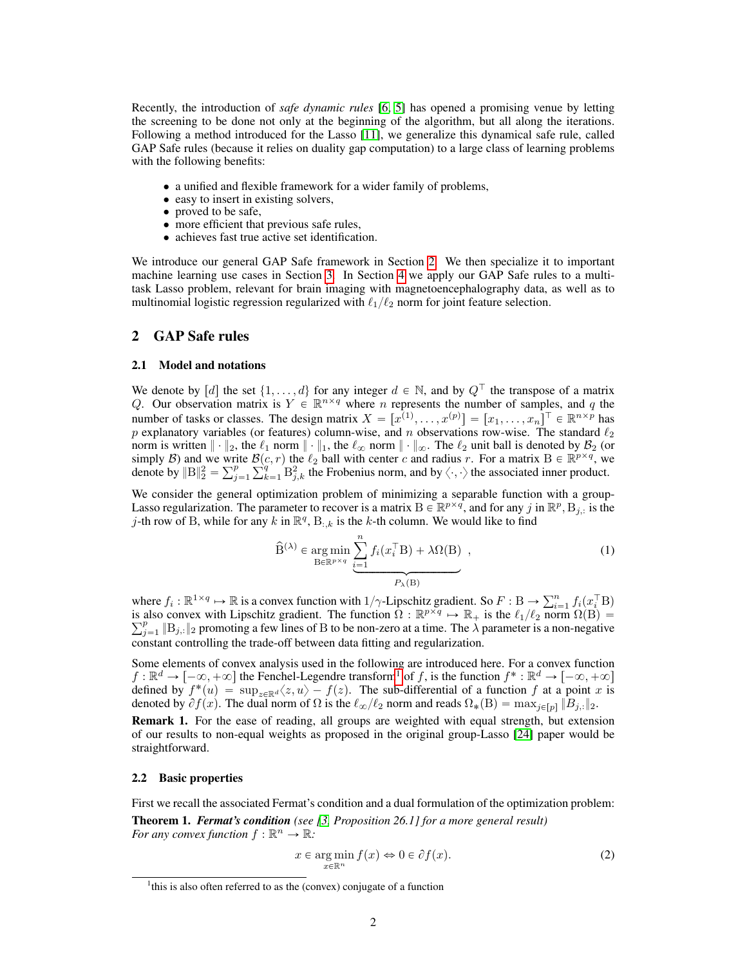Recently, the introduction of *safe dynamic rules* [6, 5] has opened a promising venue by letting the screening to be done not only at the beginning of the algorithm, but all along the iterations. Following a method introduced for the Lasso [11], we generalize this dynamical safe rule, called GAP Safe rules (because it relies on duality gap computation) to a large class of learning problems with the following benefits:

- a unified and flexible framework for a wider family of problems,
- easy to insert in existing solvers,
- proved to be safe,
- more efficient that previous safe rules,
- achieves fast true active set identification.

We introduce our general GAP Safe framework in Section 2. We then specialize it to important machine learning use cases in Section 3. In Section 4 we apply our GAP Safe rules to a multitask Lasso problem, relevant for brain imaging with magnetoencephalography data, as well as to multinomial logistic regression regularized with  $\ell_1/\ell_2$  norm for joint feature selection.

# 2 GAP Safe rules

#### 2.1 Model and notations

We denote by [d] the set  $\{1, \ldots, d\}$  for any integer  $d \in \mathbb{N}$ , and by  $Q^{\top}$  the transpose of a matrix Q. Our observation matrix is  $Y \in \mathbb{R}^{n \times q}$  where n represents the number of samples, and q the number of tasks or classes. The design matrix  $X = [x^{(1)}, \dots, x^{(p)}] = [x_1, \dots, x_n]^\top \in \mathbb{R}^{n \times p}$  has p explanatory variables (or features) column-wise, and n observations row-wise. The standard  $\ell_2$ norm is written  $\|\cdot\|_2$ , the  $\ell_1$  norm  $\|\cdot\|_1$ , the  $\ell_\infty$  norm  $\|\cdot\|_\infty$ . The  $\ell_2$  unit ball is denoted by  $\mathcal{B}_2$  (or simply B) and we write  $\mathcal{B}(c, r)$  the  $\ell_2$  ball with center c and radius r. For a matrix  $B \in \mathbb{R}^{p \times q}$ , we denote by  $\mathbb{R}^p \times \mathbb{R}^q \to \mathbb{R}^q$  the Frederics norm, and by  $\ell$ , the associated inner product denote by  $||B||_2^2 = \sum_{j=1}^p \sum_{k=1}^q B_{j,k}^2$  the Frobenius norm, and by  $\langle \cdot, \cdot \rangle$  the associated inner product.

We consider the general optimization problem of minimizing a separable function with a group-Lasso regularization. The parameter to recover is a matrix  $B \in \mathbb{R}^{p \times q}$ , and for any j in  $\mathbb{R}^p$ ,  $B_{j,:}$  is the j-th row of B, while for any k in  $\mathbb{R}^q$ , B<sub>:k</sub> is the k-th column. We would like to find

$$
\widehat{\mathbf{B}}^{(\lambda)} \in \underset{\mathbf{B} \in \mathbb{R}^{p \times q}}{\arg \min} \underbrace{\sum_{i=1}^{n} f_i(x_i^{\top} \mathbf{B}) + \lambda \Omega(\mathbf{B})}_{P_{\lambda}(\mathbf{B})},
$$
\n(1)

where  $f_i : \mathbb{R}^{1 \times q} \mapsto \mathbb{R}$  is a convex function with  $1/\gamma$ -Lipschitz gradient. So  $F : \mathbb{B} \to \sum_{i=1}^n$  $\sum_{i=1}^n f_i(x_i^\top B)$ is also convex with Lipschitz gradient. The function  $\hat{\Omega} : \mathbb{R}^{p \times q} \mapsto \mathbb{R}_+$  is the  $\ell_1/\ell_2$  norm  $\hat{\Omega}(\hat{B}) = \sum_{j=1}^p \|B_{j,:}\|_2$  promoting a few lines of B to be non-zero at a time. The  $\lambda$  parameter is a non-n constant controlling the trade-off between data fitting and regularization.

Some elements of convex analysis used in the following are introduced here. For a convex function  $f : \mathbb{R}^d \to [-\infty, +\infty]$  the Fenchel-Legendre transform<sup>1</sup> of f, is the function  $f^* : \mathbb{R}^d \to [-\infty, +\infty]$ defined by  $f^*(u) = \sup_{z \in \mathbb{R}^d} \langle z, u \rangle - f(z)$ . The sub-differential of a function f at a point x is denoted by  $\partial f(x)$ . The dual norm of  $\Omega$  is the  $\ell_{\infty}/\ell_2$  norm and reads  $\Omega_*(B) = \max_{j \in [p]} \|B_{j,:}\|_2$ .

Remark 1. For the ease of reading, all groups are weighted with equal strength, but extension of our results to non-equal weights as proposed in the original group-Lasso [24] paper would be straightforward.

#### 2.2 Basic properties

First we recall the associated Fermat's condition and a dual formulation of the optimization problem:

Theorem 1. *Fermat's condition (see [3, Proposition 26.1] for a more general result) For any convex function*  $f : \mathbb{R}^n \to \mathbb{R}$ *:* 

$$
x \in \underset{x \in \mathbb{R}^n}{\arg \min} f(x) \Leftrightarrow 0 \in \partial f(x). \tag{2}
$$

<sup>&</sup>lt;sup>1</sup>this is also often referred to as the (convex) conjugate of a function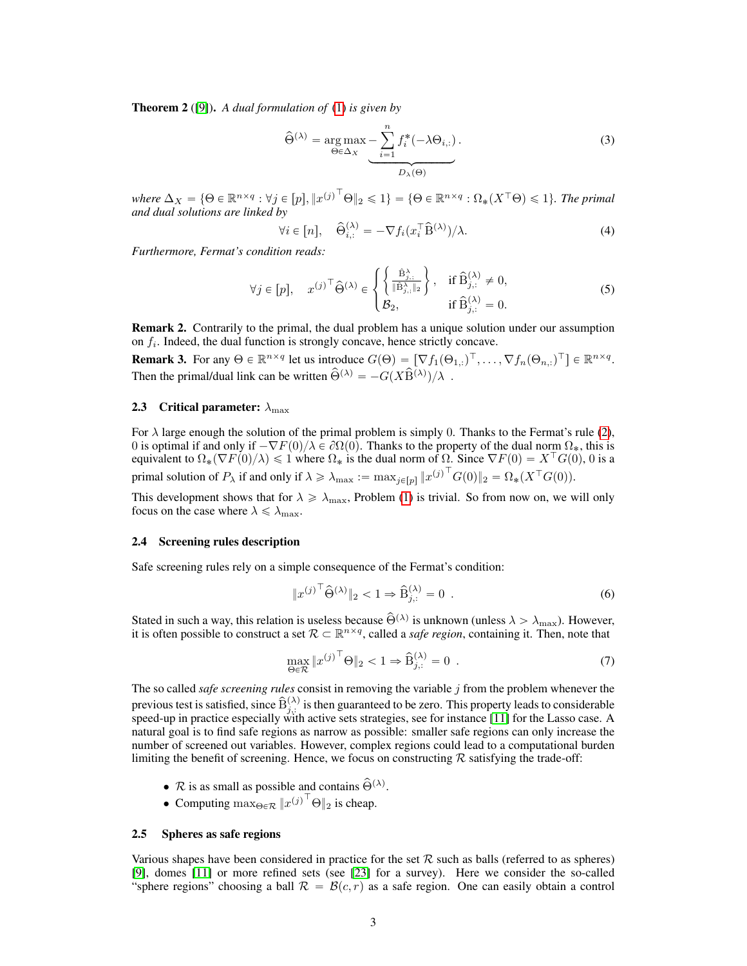Theorem 2 ([9]). *A dual formulation of* (1) *is given by*

$$
\widehat{\Theta}^{(\lambda)} = \underset{\Theta \in \Delta_X}{\arg \max} \underbrace{-\sum_{i=1}^n f_i^*(-\lambda \Theta_{i,:})}_{D_{\lambda}(\Theta)}.
$$
\n(3)

 $where \ \Delta_X = \{\Theta \in \mathbb{R}^{n \times q}: \forall j \in [p], {\|x^{(j)}^\top \Theta \|_2} \leqslant 1\} = \{\Theta \in \mathbb{R}^{n \times q}: \Omega_*(X^\top \Theta) \leqslant 1\}.$  *The primal and dual solutions are linked by*

"

$$
\forall i \in [n], \quad \widehat{\Theta}_{i,:}^{(\lambda)} = -\nabla f_i(x_i^{\top} \widehat{\mathbf{B}}^{(\lambda)})/\lambda. \tag{4}
$$

*Furthermore, Fermat's condition reads:*

$$
\forall j \in [p], \quad x^{(j)\top} \widehat{\Theta}^{(\lambda)} \in \begin{cases} \left\{ \frac{\widehat{\mathbf{B}}_{j,:}^{\lambda}}{\|\widehat{\mathbf{B}}_{j,:}^{\lambda}\|_2} \right\}, & \text{if } \widehat{\mathbf{B}}_{j,:}^{(\lambda)} \neq 0, \\ \mathcal{B}_2, & \text{if } \widehat{\mathbf{B}}_{j,:}^{(\lambda)} = 0. \end{cases}
$$
(5)

\*

Remark 2. Contrarily to the primal, the dual problem has a unique solution under our assumption on  $f_i$ . Indeed, the dual function is strongly concave, hence strictly concave.

**Remark 3.** For any  $\Theta \in \mathbb{R}^{n \times q}$  let us introduce  $G(\Theta) = [\nabla f_1(\Theta_{1,:})^\top, \dots, \nabla f_n(\Theta_{n,:})^\top] \in \mathbb{R}^{n \times q}$ . Then the primal/dual link can be written  $\hat{\Theta}^{(\lambda)} = -G(X\hat{B}^{(\lambda)})/\lambda$ .

# 2.3 Critical parameter:  $\lambda_{\text{max}}$

For  $\lambda$  large enough the solution of the primal problem is simply 0. Thanks to the Fermat's rule (2), 0 is optimal if and only if  $-\nabla F(0)/\lambda \in \partial \Omega(0)$ . Thanks to the property of the dual norm  $\Omega_{*}$ , this is equivalent to  $\Omega_*(\nabla F(0)/\lambda) \leq 1$  where  $\Omega_*$  is the dual norm of  $\Omega$ . Since  $\nabla F(0) = X^{\top}G(0)$ , 0 is a primal solution of  $P_\lambda$  if and only if  $\lambda \geq \lambda_{\max} := \max_{j \in [p]} ||x^{(j)}^\top G(0)||_2 = \Omega_*(X^\top G(0)).$ 

This development shows that for  $\lambda \ge \lambda_{\text{max}}$ , Problem (1) is trivial. So from now on, we will only focus on the case where  $\lambda \leq \lambda_{\text{max}}$ .

### 2.4 Screening rules description

Safe screening rules rely on a simple consequence of the Fermat's condition:

$$
||x^{(j)\top}\widehat{\Theta}^{(\lambda)}||_2 < 1 \Rightarrow \widehat{\mathbf{B}}_{j,:}^{(\lambda)} = 0.
$$
 (6)

Stated in such a way, this relation is useless because  $\hat{\Theta}^{(\lambda)}$  is unknown (unless  $\lambda > \lambda_{\max}$ ). However, it is often possible to construct a set  $\mathcal{R} \subset \mathbb{R}^{n \times q}$ , called a *safe region*, containing it. Then, note that

$$
\max_{\Theta \in \mathcal{R}} \|x^{(j)}^{\top}\Theta\|_2 < 1 \Rightarrow \widehat{B}_{j,:}^{(\lambda)} = 0 \tag{7}
$$

The so called *safe screening rules* consist in removing the variable j from the problem whenever the previous test is satisfied, since  $\widehat{B}_{j,:}^{(\lambda)}$  is then guaranteed to be zero. This property leads to considerable speed-up in practice especially with active sets strategies, see for instance [11] for the Lasso case. A natural goal is to find safe regions as narrow as possible: smaller safe regions can only increase the number of screened out variables. However, complex regions could lead to a computational burden limiting the benefit of screening. Hence, we focus on constructing  $R$  satisfying the trade-off:

- $\mathcal R$  is as small as possible and contains  $\widehat{\Theta}^{(\lambda)}$ .
- Computing  $\max_{\Theta \in \mathcal{R}} \|x^{(j)}^{\top} \Theta\|_2$  is cheap.

#### 2.5 Spheres as safe regions

Various shapes have been considered in practice for the set  $R$  such as balls (referred to as spheres) [9], domes [11] or more refined sets (see [23] for a survey). Here we consider the so-called "sphere regions" choosing a ball  $\mathcal{R} = \mathcal{B}(c, r)$  as a safe region. One can easily obtain a control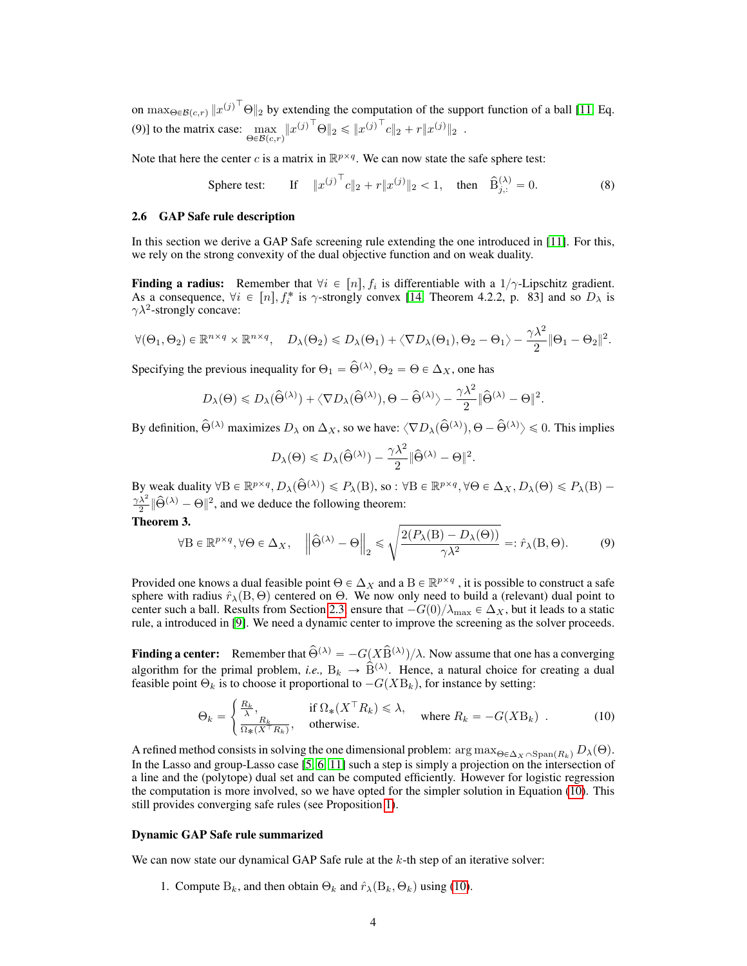on  $\max_{\Theta \in \mathcal{B}(c,r)} ||x^{(j)}^\top \Theta||_2$  by extending the computation of the support function of a ball [11, Eq. (9)] to the matrix case:  $\max_{\Theta \in \mathcal{B}(c,r)} ||x^{(j)}^\top \Theta||_2 \le ||x^{(j)}^\top c||_2 + r ||x^{(j)}||_2$ .

Note that here the center c is a matrix in  $\mathbb{R}^{p \times q}$ . We can now state the safe sphere test:

$$
\text{Sphere test:} \qquad \text{If} \quad \|x^{(j)}^\top c\|_2 + r\|x^{(j)}\|_2 < 1, \quad \text{then} \quad \widehat{B}_{j,:}^{(\lambda)} = 0. \tag{8}
$$

#### 2.6 GAP Safe rule description

In this section we derive a GAP Safe screening rule extending the one introduced in [11]. For this, we rely on the strong convexity of the dual objective function and on weak duality.

**Finding a radius:** Remember that  $\forall i \in [n]$ ,  $f_i$  is differentiable with a  $1/\gamma$ -Lipschitz gradient. As a consequence,  $\forall i \in [n], f_i^*$  is  $\gamma$ -strongly convex [14, Theorem 4.2.2, p. 83] and so  $D_\lambda$  is  $\gamma \lambda^2$ -strongly concave:

$$
\forall (\Theta_1, \Theta_2) \in \mathbb{R}^{n \times q} \times \mathbb{R}^{n \times q}, \quad D_{\lambda}(\Theta_2) \leq D_{\lambda}(\Theta_1) + \langle \nabla D_{\lambda}(\Theta_1), \Theta_2 - \Theta_1 \rangle - \frac{\gamma \lambda^2}{2} \|\Theta_1 - \Theta_2\|^2.
$$

Specifying the previous inequality for  $\Theta_1 = \hat{\Theta}^{(\lambda)}$ ,  $\Theta_2 = \Theta \in \Delta_X$ , one has

$$
D_{\lambda}(\Theta) \leq D_{\lambda}(\widehat{\Theta}^{(\lambda)}) + \langle \nabla D_{\lambda}(\widehat{\Theta}^{(\lambda)}), \Theta - \widehat{\Theta}^{(\lambda)} \rangle - \frac{\gamma \lambda^2}{2} ||\widehat{\Theta}^{(\lambda)} - \Theta||^2.
$$

By definition,  $\hat{\Theta}^{(\lambda)}$  maximizes  $D_{\lambda}$  on  $\Delta_X$ , so we have:  $\langle \nabla D_{\lambda}(\hat{\Theta}^{(\lambda)}), \Theta - \hat{\Theta}^{(\lambda)} \rangle \leq 0$ . This implies

$$
D_{\lambda}(\Theta) \leq D_{\lambda}(\widehat{\Theta}^{(\lambda)}) - \frac{\gamma \lambda^2}{2} ||\widehat{\Theta}^{(\lambda)} - \Theta||^2.
$$

By weak duality  $\forall B \in \mathbb{R}^{p \times q}$ ,  $D_{\lambda}(\widehat{\Theta}^{(\lambda)}) \leq P_{\lambda}(B)$ , so :  $\forall B \in \mathbb{R}^{p \times q}$ ,  $\forall \Theta \in \Delta_X$ ,  $D_{\lambda}(\Theta) \leq P_{\lambda}(B)$  - $\frac{\gamma \lambda^2}{2}$   $\|\widehat{\Theta}^{(\lambda)} - \Theta\|^2$ , and we deduce the following theorem:

Theorem 3.

$$
\forall \mathbf{B} \in \mathbb{R}^{p \times q}, \forall \Theta \in \Delta_X, \quad \left\| \hat{\Theta}^{(\lambda)} - \Theta \right\|_2 \le \sqrt{\frac{2(P_\lambda(\mathbf{B}) - D_\lambda(\Theta))}{\gamma \lambda^2}} =: \hat{r}_\lambda(\mathbf{B}, \Theta). \tag{9}
$$

Provided one knows a dual feasible point  $\Theta \in \Delta_X$  and a  $B \in \mathbb{R}^{p \times q}$  , it is possible to construct a safe sphere with radius  $\hat{r}_{\lambda}(B, \Theta)$  centered on  $\Theta$ . We now only need to build a (relevant) dual point to center such a ball. Results from Section 2.3, ensure that  $-G(0)/\lambda_{\max} \in \Delta_X$ , but it leads to a static rule, a introduced in [9]. We need a dynamic center to improve the screening as the solver proceeds.

**Finding a center:** Remember that  $\hat{\Theta}^{(\lambda)} = -G(X\hat{B}^{(\lambda)})/\lambda$ . Now assume that one has a converging algorithm for the primal problem, *i.e.*,  $B_k \rightarrow \hat{B}^{(\lambda)}$ . Hence, a natural choice for creating a dual feasible point  $\Theta_k$  is to choose it proportional to  $-G(XB_k)$ , for instance by setting:

$$
\Theta_k = \begin{cases} \frac{R_k}{\lambda}, & \text{if } \Omega_*(X^\top R_k) \le \lambda, \\ \frac{R_k}{\Omega_*(X^\top R_k)}, & \text{otherwise.} \end{cases} \quad \text{where } R_k = -G(X\mathcal{B}_k) \tag{10}
$$

A refined method consists in solving the one dimensional problem:  $\arg \max_{\Theta \in \Delta_X \cap \text{Span}(R_k)} D_\lambda(\Theta)$ . In the Lasso and group-Lasso case [5, 6, 11] such a step is simply a projection on the intersection of a line and the (polytope) dual set and can be computed efficiently. However for logistic regression the computation is more involved, so we have opted for the simpler solution in Equation (10). This still provides converging safe rules (see Proposition 1).

#### Dynamic GAP Safe rule summarized

We can now state our dynamical GAP Safe rule at the  $k$ -th step of an iterative solver:

1. Compute  $B_k$ , and then obtain  $\Theta_k$  and  $\hat{r}_\lambda(B_k, \Theta_k)$  using (10).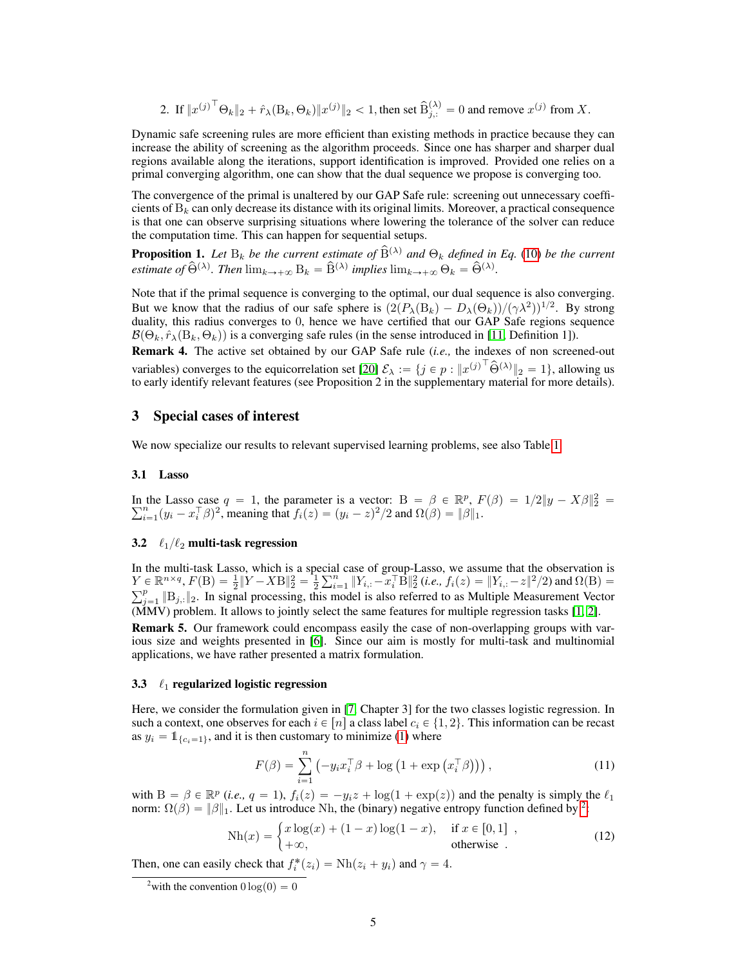2. If  $||x^{(j)}^\top \Theta_k||_2 + \hat{r}_\lambda(\mathbf{B}_k, \Theta_k) ||x^{(j)}||_2 < 1$ , then set  $\hat{B}_{j,:}^{(\lambda)} = 0$  and remove  $x^{(j)}$  from X.

Dynamic safe screening rules are more efficient than existing methods in practice because they can increase the ability of screening as the algorithm proceeds. Since one has sharper and sharper dual regions available along the iterations, support identification is improved. Provided one relies on a primal converging algorithm, one can show that the dual sequence we propose is converging too.

The convergence of the primal is unaltered by our GAP Safe rule: screening out unnecessary coefficients of  $B_k$  can only decrease its distance with its original limits. Moreover, a practical consequence is that one can observe surprising situations where lowering the tolerance of the solver can reduce the computation time. This can happen for sequential setups.

**Proposition 1.** Let  $B_k$  be the current estimate of  $\widehat{B}^{(\lambda)}$  and  $\Theta_k$  defined in Eq. (10) be the current *estimate of*  $\hat{\Theta}^{(\lambda)}$ *. Then*  $\lim_{k\to+\infty} B_k = \hat{B}^{(\lambda)}$  *implies*  $\lim_{k\to+\infty} \Theta_k = \hat{\Theta}^{(\lambda)}$ *.* 

Note that if the primal sequence is converging to the optimal, our dual sequence is also converging. But we know that the radius of our safe sphere is  $(2(P_\lambda(B_k) - D_\lambda(\Theta_k))/(\gamma \lambda^2))^{1/2}$ . By strong duality, this radius converges to 0, hence we have certified that our GAP Safe regions sequence  $\mathcal{B}(\Theta_k, \hat{r}_\lambda(\mathbf{B}_k, \Theta_k))$  is a converging safe rules (in the sense introduced in [11, Definition 1]).

Remark 4. The active set obtained by our GAP Safe rule (*i.e.,* the indexes of non screened-out variables) converges to the equicorrelation set [20]  $\mathcal{E}_{\lambda} := \{j \in p : ||x^{(j)}^\top \hat{\Theta}^{(\lambda)}||_2 = 1\}$ , allowing us to early identify relevant features (see Proposition 2 in the supplementary material for more details).

# 3 Special cases of interest

We now specialize our results to relevant supervised learning problems, see also Table 1.

#### 3.1 Lasso

In the Lasso case  $q = 1$ , the parameter is a vector:  $B = \beta \in \mathbb{R}^p$ ,  $F(\beta) = 1/2||y - X\beta||_2^2 = \sum_{i=1}^n (y_i - x_i^\top \beta)^2$ , meaning that  $f_i(z) = (y_i - z)^2/2$  and  $\Omega(\beta) = ||\beta||_1$ .

## 3.2  $\ell_1/\ell_2$  multi-task regression

In the multi-task Lasso, which is a special case of group-Lasso, we assume that the observation is  $Y \in \mathbb{R}^{n \times q}, F(B) = \frac{1}{2} ||Y - XB||_2^2 = \frac{1}{2}$ cial  $Y \in \mathbb{R}^{n \times q}$ ,  $F(B) = \frac{1}{2} \|Y - XB\|_2^2 = \frac{1}{2} \sum_{i=1}^n \|Y_{i,:} - x_i^\top \overline{B}\|_2^2$  (*i.e.,*  $f_i(z) = \|Y_{i,:} - z\|^2/2$ ) and  $\Omega(B) =$ <br> $\sum_{i=1}^p \|P_i\|_2^2 = \frac{1}{2} \sum_{i=1}^n \|Y_{i,:} - x_i^\top \overline{B}\|_2^2$  (*i.e.,*  $f_i(z) = \|Y_{i,:} - z\|^2/2$ ) and  $_{j=1}^{p}$   $\|B_{j,:}\|_2$ . In signal processing, this model is also referred to as Multiple Measurement Vector (MMV) problem. It allows to jointly select the same features for multiple regression tasks [1, 2].

Remark 5. Our framework could encompass easily the case of non-overlapping groups with various size and weights presented in [6]. Since our aim is mostly for multi-task and multinomial applications, we have rather presented a matrix formulation.

## 3.3  $\ell_1$  regularized logistic regression

Here, we consider the formulation given in [7, Chapter 3] for the two classes logistic regression. In such a context, one observes for each  $i \in [n]$  a class label  $c_i \in \{1, 2\}$ . This information can be recast as  $y_i = \mathbb{1}_{\{c_i = 1\}}$ , and it is then customary to minimize (1) where

$$
F(\beta) = \sum_{i=1}^{n} \left( -y_i x_i^{\top} \beta + \log \left( 1 + \exp \left( x_i^{\top} \beta \right) \right) \right),\tag{11}
$$

with  $B = \beta \in \mathbb{R}^p$  (*i.e.*,  $q = 1$ ),  $f_i(z) = -y_i z + \log(1 + \exp(z))$  and the penalty is simply the  $\ell_1$ 

norm: 
$$
\Omega(\beta) = ||\beta||_1
$$
. Let us introduce Nh, the (binary) negative entropy function defined by <sup>2</sup>:  
\n
$$
Nh(x) = \begin{cases} x \log(x) + (1-x) \log(1-x), & \text{if } x \in [0,1] \\ +\infty, & \text{otherwise} \end{cases}
$$
\n(12)

Then, one can easily check that  $f_i^*(z_i) = \text{Nh}(z_i + y_i)$  and  $\gamma = 4$ .

<sup>&</sup>lt;sup>2</sup>with the convention  $0 \log(0) = 0$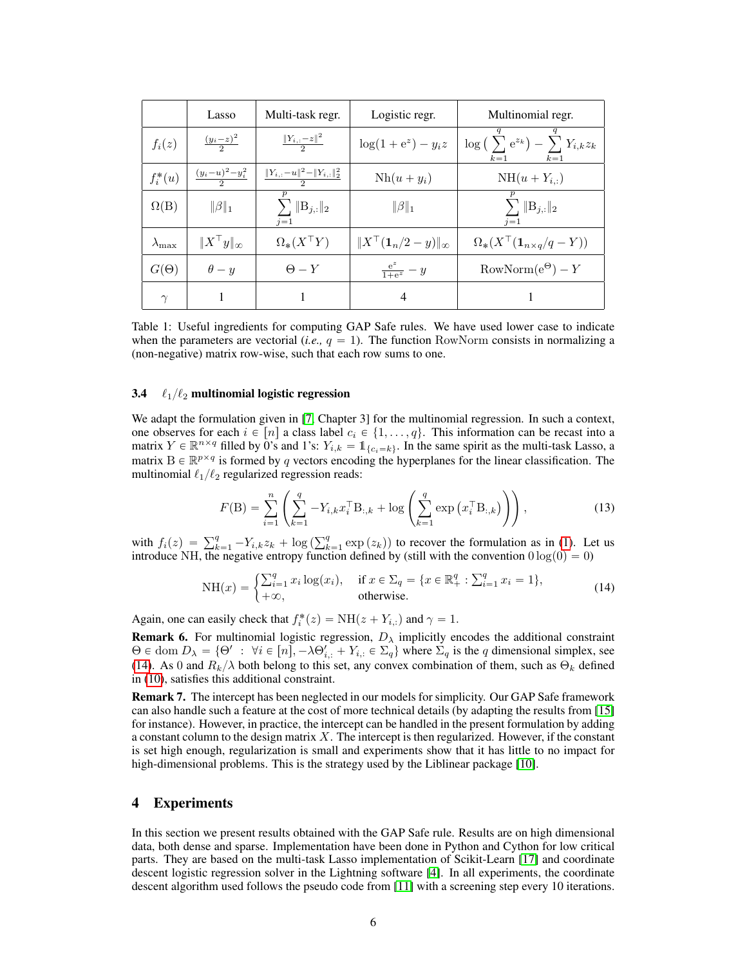|                     | Lasso                       | Multi-task regr.                            | Logistic regr.                        | Multinomial regr.                                                    |
|---------------------|-----------------------------|---------------------------------------------|---------------------------------------|----------------------------------------------------------------------|
| $f_i(z)$            | $\frac{(y_i-z)^2}{2}$       | $\frac{  Y_{i,:} - z  ^2}{2}$               | $\log(1 + e^z) - y_i z$               | $\log\left(\sum e^{z_k}\right) - \sum Y_{i,k} z_k$<br>$k=1$<br>$k=1$ |
| $f_i^*(u)$          | $\frac{(y_i-u)^2-y_i^2}{2}$ | $\frac{  Y_{i,:}-u  ^2-  Y_{i,:}  _2^2}{2}$ | $Nh(u + y_i)$                         | $NH(u+Y_{i,:})$                                                      |
| $\Omega(B)$         | $\ \beta\ _1$               | $\sum \ B_{j,:}\ _2$<br>$i=1$               | $\ \beta\ _1$                         | $\sum \ \mathbf{B}_{j,:}\ _2$<br>$i=1$                               |
| $\lambda_{\rm max}$ | $  X^\top y  _{\infty}$     | $\Omega_*(X^{\top}Y)$                       | $\ X^\top(\mathbf{1}_n/2-y)\ _\infty$ | $\Omega_* (X^{\top}(\mathbf{1}_{n \times q}/q - Y))$                 |
| $G(\Theta)$         | $\theta - y$                | $\Theta - Y$                                | $\frac{e^z}{1+e^z}-y$                 | $RowNorm(e^{\Theta}) - Y$                                            |
| $\sim$              |                             |                                             | $\overline{4}$                        |                                                                      |

Table 1: Useful ingredients for computing GAP Safe rules. We have used lower case to indicate when the parameters are vectorial (*i.e.*,  $q = 1$ ). The function RowNorm consists in normalizing a (non-negative) matrix row-wise, such that each row sums to one.

## 3.4  $\ell_1/\ell_2$  multinomial logistic regression

We adapt the formulation given in [7, Chapter 3] for the multinomial regression. In such a context, one observes for each  $i \in [n]$  a class label  $c_i \in \{1, \ldots, q\}$ . This information can be recast into a matrix  $Y \in \mathbb{R}^{n \times q}$  filled by 0's and 1's:  $Y_{i,k} = 1_{\{c_i = k\}}$ . In the same spirit as the multi-task Lasso, a matrix  $B \in \mathbb{R}^{p \times q}$  is formed by q vectors encoding the hyperplanes for the linear classification. The multinomial  $\ell_1/\ell_2$  regularized regression reads:

$$
F(\mathbf{B}) = \sum_{i=1}^{n} \left( \sum_{k=1}^{q} -Y_{i,k} x_i^{\top} \mathbf{B}_{:,k} + \log \left( \sum_{k=1}^{q} \exp \left( x_i^{\top} \mathbf{B}_{:,k} \right) \right) \right), \tag{13}
$$

with  $f_i(z) = \sum_{k=1}^{q} -Y_{i,k}z_k + \log$  $e^{q}_{k=1}$  exp $(z_k)$ ) to recover the formulation as in (1). Let us introduce NH, the negative entropy function defined by (still with the convention  $0 \log(0) = 0$ )

NH(x) = 
$$
\begin{cases} \sum_{i=1}^{q} x_i \log(x_i), & \text{if } x \in \sum_{q} = \{x \in \mathbb{R}^q_+ : \sum_{i=1}^{q} x_i = 1\}, \\ +\infty, & \text{otherwise.} \end{cases}
$$
(14)

Again, one can easily check that  $f_i^*(z) = NH(z + Y_{i,:})$  and  $\gamma = 1$ .

**Remark 6.** For multinomial logistic regression,  $D_{\lambda}$  implicitly encodes the additional constraint  $\Theta \in \text{dom } D_{\lambda} = \{\Theta' : \forall i \in [n], -\lambda \Theta'_{i,:} + Y_{i,:} \in \Sigma_q \}$  where  $\Sigma_q$  is the q dimensional simplex, see (14). As 0 and  $R_k/\lambda$  both belong to this set, any convex combination of them, such as  $\Theta_k$  defined in (10), satisfies this additional constraint.

Remark 7. The intercept has been neglected in our models for simplicity. Our GAP Safe framework can also handle such a feature at the cost of more technical details (by adapting the results from [15] for instance). However, in practice, the intercept can be handled in the present formulation by adding a constant column to the design matrix  $X$ . The intercept is then regularized. However, if the constant is set high enough, regularization is small and experiments show that it has little to no impact for high-dimensional problems. This is the strategy used by the Liblinear package [10].

# 4 Experiments

In this section we present results obtained with the GAP Safe rule. Results are on high dimensional data, both dense and sparse. Implementation have been done in Python and Cython for low critical parts. They are based on the multi-task Lasso implementation of Scikit-Learn [17] and coordinate descent logistic regression solver in the Lightning software [4]. In all experiments, the coordinate descent algorithm used follows the pseudo code from [11] with a screening step every 10 iterations.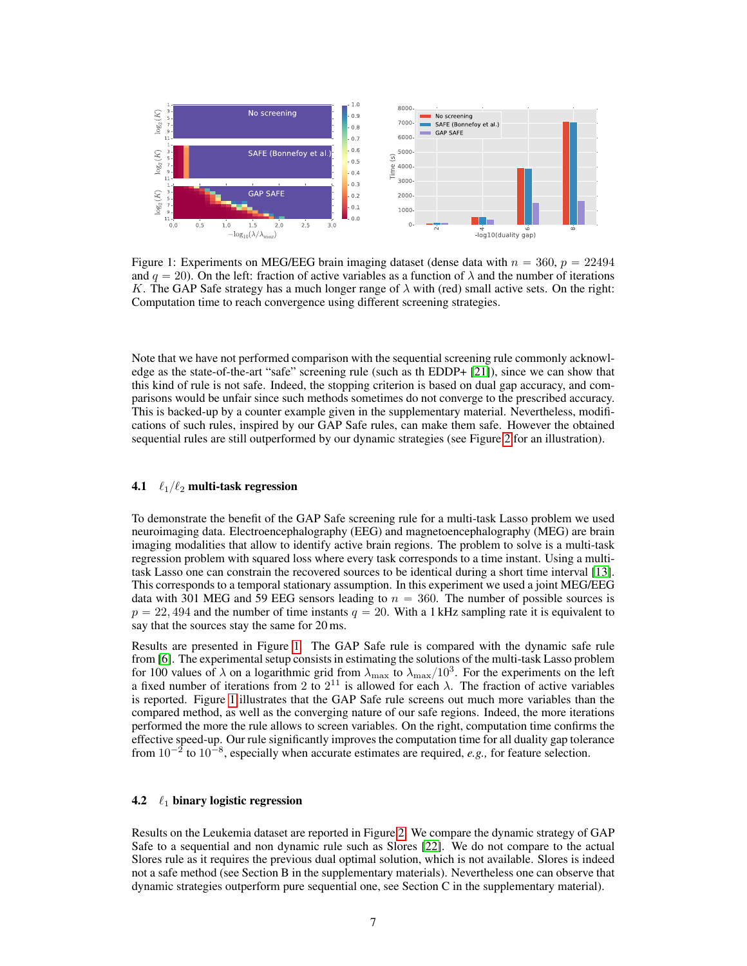

Figure 1: Experiments on MEG/EEG brain imaging dataset (dense data with  $n = 360$ ,  $p = 22494$ and  $q = 20$ ). On the left: fraction of active variables as a function of  $\lambda$  and the number of iterations K. The GAP Safe strategy has a much longer range of  $\lambda$  with (red) small active sets. On the right: Computation time to reach convergence using different screening strategies.

Note that we have not performed comparison with the sequential screening rule commonly acknowledge as the state-of-the-art "safe" screening rule (such as th EDDP+ [21]), since we can show that this kind of rule is not safe. Indeed, the stopping criterion is based on dual gap accuracy, and comparisons would be unfair since such methods sometimes do not converge to the prescribed accuracy. This is backed-up by a counter example given in the supplementary material. Nevertheless, modifications of such rules, inspired by our GAP Safe rules, can make them safe. However the obtained sequential rules are still outperformed by our dynamic strategies (see Figure 2 for an illustration).

#### **4.1**  $\ell_1/\ell_2$  multi-task regression

To demonstrate the benefit of the GAP Safe screening rule for a multi-task Lasso problem we used neuroimaging data. Electroencephalography (EEG) and magnetoencephalography (MEG) are brain imaging modalities that allow to identify active brain regions. The problem to solve is a multi-task regression problem with squared loss where every task corresponds to a time instant. Using a multitask Lasso one can constrain the recovered sources to be identical during a short time interval [13]. This corresponds to a temporal stationary assumption. In this experiment we used a joint MEG/EEG data with 301 MEG and 59 EEG sensors leading to  $n = 360$ . The number of possible sources is  $p = 22,494$  and the number of time instants  $q = 20$ . With a 1 kHz sampling rate it is equivalent to say that the sources stay the same for 20 ms.

Results are presented in Figure 1. The GAP Safe rule is compared with the dynamic safe rule from [6]. The experimental setup consists in estimating the solutions of the multi-task Lasso problem for 100 values of  $\lambda$  on a logarithmic grid from  $\lambda_{\text{max}}$  to  $\lambda_{\text{max}}/10^3$ . For the experiments on the left a fixed number of iterations from 2 to  $2^{11}$  is allowed for each  $\lambda$ . The fraction of active variables is reported. Figure 1 illustrates that the GAP Safe rule screens out much more variables than the compared method, as well as the converging nature of our safe regions. Indeed, the more iterations performed the more the rule allows to screen variables. On the right, computation time confirms the effective speed-up. Our rule significantly improves the computation time for all duality gap tolerance from  $10^{-2}$  to  $10^{-8}$ , especially when accurate estimates are required, *e.g.*, for feature selection.

#### 4.2  $\ell_1$  binary logistic regression

Results on the Leukemia dataset are reported in Figure 2. We compare the dynamic strategy of GAP Safe to a sequential and non dynamic rule such as Slores [22]. We do not compare to the actual Slores rule as it requires the previous dual optimal solution, which is not available. Slores is indeed not a safe method (see Section B in the supplementary materials). Nevertheless one can observe that dynamic strategies outperform pure sequential one, see Section C in the supplementary material).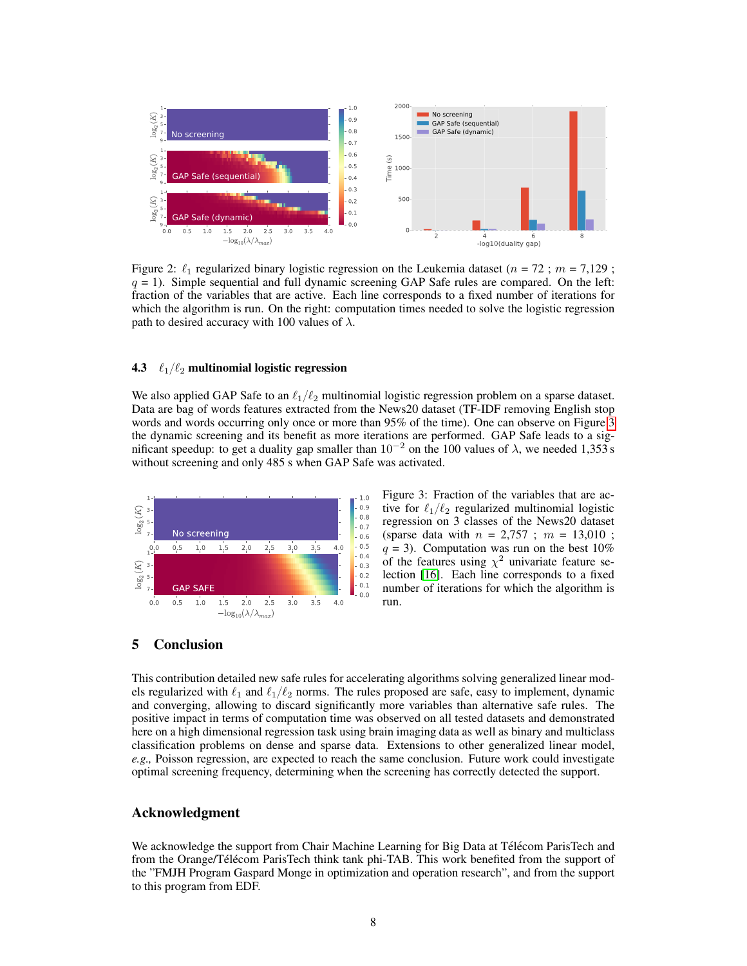

Figure 2:  $\ell_1$  regularized binary logistic regression on the Leukemia dataset ( $n = 72$ ;  $m = 7,129$ ;  $q = 1$ ). Simple sequential and full dynamic screening GAP Safe rules are compared. On the left: fraction of the variables that are active. Each line corresponds to a fixed number of iterations for which the algorithm is run. On the right: computation times needed to solve the logistic regression path to desired accuracy with 100 values of  $\lambda$ .

## 4.3  $\ell_1/\ell_2$  multinomial logistic regression

We also applied GAP Safe to an  $\ell_1/\ell_2$  multinomial logistic regression problem on a sparse dataset. Data are bag of words features extracted from the News20 dataset (TF-IDF removing English stop words and words occurring only once or more than 95% of the time). One can observe on Figure 3 the dynamic screening and its benefit as more iterations are performed. GAP Safe leads to a significant speedup: to get a duality gap smaller than  $10^{-2}$  on the 100 values of  $\lambda$ , we needed 1,353 s without screening and only 485 s when GAP Safe was activated.



Figure 3: Fraction of the variables that are active for  $\ell_1/\ell_2$  regularized multinomial logistic regression on 3 classes of the News20 dataset (sparse data with  $n = 2,757$ ;  $m = 13,010$ ;  $q = 3$ ). Computation was run on the best 10% of the features using  $\chi^2$  univariate feature selection [16]. Each line corresponds to a fixed number of iterations for which the algorithm is run.

# 5 Conclusion

This contribution detailed new safe rules for accelerating algorithms solving generalized linear models regularized with  $\ell_1$  and  $\ell_1/\ell_2$  norms. The rules proposed are safe, easy to implement, dynamic and converging, allowing to discard significantly more variables than alternative safe rules. The positive impact in terms of computation time was observed on all tested datasets and demonstrated here on a high dimensional regression task using brain imaging data as well as binary and multiclass classification problems on dense and sparse data. Extensions to other generalized linear model, *e.g.,* Poisson regression, are expected to reach the same conclusion. Future work could investigate optimal screening frequency, determining when the screening has correctly detected the support.

## Acknowledgment

We acknowledge the support from Chair Machine Learning for Big Data at Télécom ParisTech and from the Orange/Télécom ParisTech think tank phi-TAB. This work benefited from the support of the "FMJH Program Gaspard Monge in optimization and operation research", and from the support to this program from EDF.